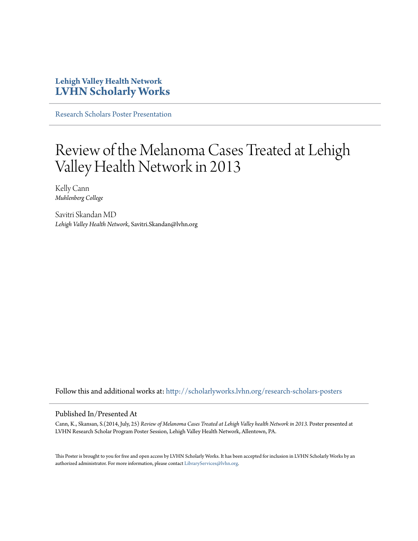### **Lehigh Valley Health Network [LVHN Scholarly Works](http://scholarlyworks.lvhn.org?utm_source=scholarlyworks.lvhn.org%2Fresearch-scholars-posters%2F374&utm_medium=PDF&utm_campaign=PDFCoverPages)**

[Research Scholars Poster Presentation](http://scholarlyworks.lvhn.org/research-scholars-posters?utm_source=scholarlyworks.lvhn.org%2Fresearch-scholars-posters%2F374&utm_medium=PDF&utm_campaign=PDFCoverPages)

### Review of the Melanoma Cases Treated at Lehigh Valley Health Network in 2013

Kelly Cann *Muhlenberg College*

Savitri Skandan MD *Lehigh Valley Health Network*, Savitri.Skandan@lvhn.org

Follow this and additional works at: [http://scholarlyworks.lvhn.org/research-scholars-posters](http://scholarlyworks.lvhn.org/research-scholars-posters?utm_source=scholarlyworks.lvhn.org%2Fresearch-scholars-posters%2F374&utm_medium=PDF&utm_campaign=PDFCoverPages)

### Published In/Presented At

Cann, K., Skansan, S.(2014, July, 25) *Review of Melanoma Cases Treated at Lehigh Valley health Network in 2013.* Poster presented at LVHN Research Scholar Program Poster Session, Lehigh Valley Health Network, Allentown, PA.

This Poster is brought to you for free and open access by LVHN Scholarly Works. It has been accepted for inclusion in LVHN Scholarly Works by an authorized administrator. For more information, please contact [LibraryServices@lvhn.org.](mailto:LibraryServices@lvhn.org)